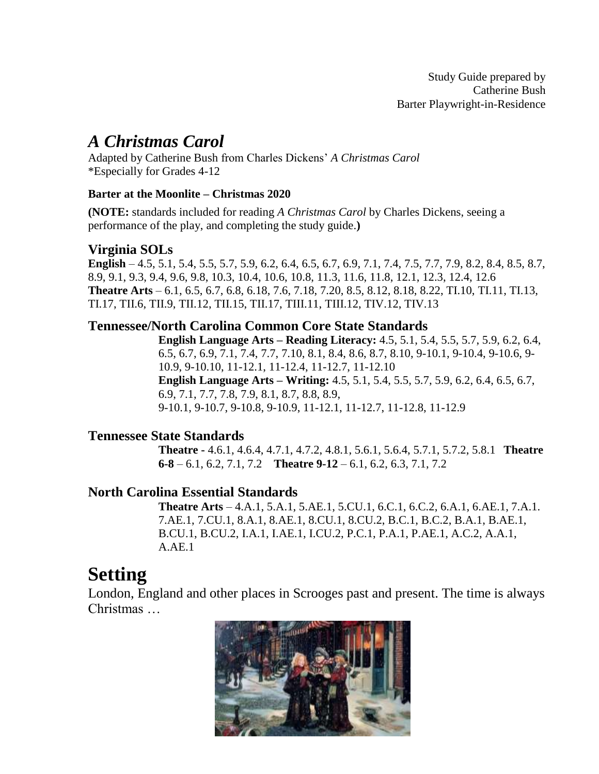### *A Christmas Carol*

Adapted by Catherine Bush from Charles Dickens' *A Christmas Carol* \*Especially for Grades 4-12

### **Barter at the Moonlite – Christmas 2020**

**(NOTE:** standards included for reading *A Christmas Carol* by Charles Dickens, seeing a performance of the play, and completing the study guide.**)**

### **Virginia SOLs**

**English** – 4.5, 5.1, 5.4, 5.5, 5.7, 5.9, 6.2, 6.4, 6.5, 6.7, 6.9, 7.1, 7.4, 7.5, 7.7, 7.9, 8.2, 8.4, 8.5, 8.7, 8.9, 9.1, 9.3, 9.4, 9.6, 9.8, 10.3, 10.4, 10.6, 10.8, 11.3, 11.6, 11.8, 12.1, 12.3, 12.4, 12.6 **Theatre Arts** – 6.1, 6.5, 6.7, 6.8, 6.18, 7.6, 7.18, 7.20, 8.5, 8.12, 8.18, 8.22, TI.10, TI.11, TI.13, TI.17, TII.6, TII.9, TII.12, TII.15, TII.17, TIII.11, TIII.12, TIV.12, TIV.13

### **Tennessee/North Carolina Common Core State Standards**

**English Language Arts – Reading Literacy:** 4.5, 5.1, 5.4, 5.5, 5.7, 5.9, 6.2, 6.4, 6.5, 6.7, 6.9, 7.1, 7.4, 7.7, 7.10, 8.1, 8.4, 8.6, 8.7, 8.10, 9-10.1, 9-10.4, 9-10.6, 9- 10.9, 9-10.10, 11-12.1, 11-12.4, 11-12.7, 11-12.10 **English Language Arts – Writing:** 4.5, 5.1, 5.4, 5.5, 5.7, 5.9, 6.2, 6.4, 6.5, 6.7, 6.9, 7.1, 7.7, 7.8, 7.9, 8.1, 8.7, 8.8, 8.9, 9-10.1, 9-10.7, 9-10.8, 9-10.9, 11-12.1, 11-12.7, 11-12.8, 11-12.9

### **Tennessee State Standards**

**Theatre -** 4.6.1, 4.6.4, 4.7.1, 4.7.2, 4.8.1, 5.6.1, 5.6.4, 5.7.1, 5.7.2, 5.8.1 **Theatre 6-8** – 6.1, 6.2, 7.1, 7.2 **Theatre 9-12** – 6.1, 6.2, 6.3, 7.1, 7.2

### **North Carolina Essential Standards**

**Theatre Arts** – 4.A.1, 5.A.1, 5.AE.1, 5.CU.1, 6.C.1, 6.C.2, 6.A.1, 6.AE.1, 7.A.1. 7.AE.1, 7.CU.1, 8.A.1, 8.AE.1, 8.CU.1, 8.CU.2, B.C.1, B.C.2, B.A.1, B.AE.1, B.CU.1, B.CU.2, I.A.1, I.AE.1, I.CU.2, P.C.1, P.A.1, P.AE.1, A.C.2, A.A.1, A.AE.1

### **Setting**

London, England and other places in Scrooges past and present. The time is always Christmas …

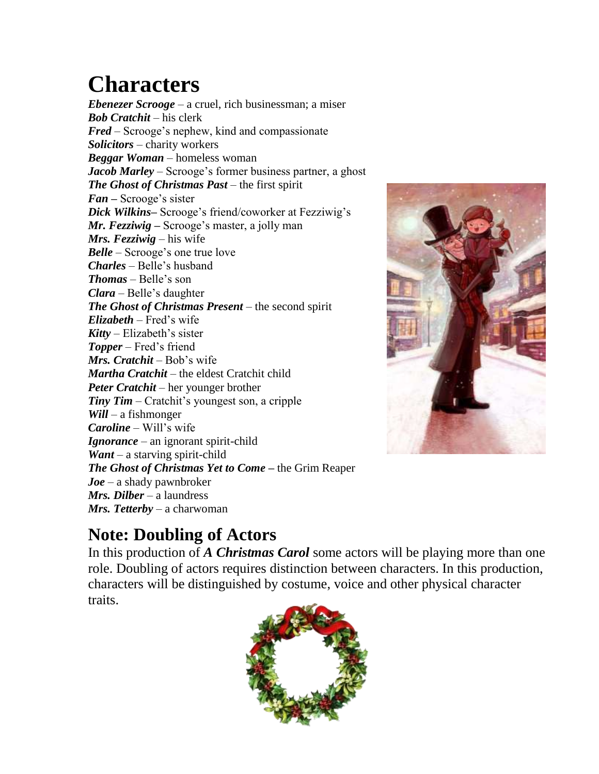## **Characters**

*Ebenezer Scrooge* – a cruel, rich businessman; a miser *Bob Cratchit* – his clerk *Fred* – Scrooge's nephew, kind and compassionate *Solicitors* – charity workers *Beggar Woman* – homeless woman *Jacob Marley* – Scrooge's former business partner, a ghost *The Ghost of Christmas Past* – the first spirit *Fan –* Scrooge's sister *Dick Wilkins***–** Scrooge's friend/coworker at Fezziwig's *Mr. Fezziwig –* Scrooge's master, a jolly man *Mrs. Fezziwig* – his wife *Belle* – Scrooge's one true love *Charles* – Belle's husband *Thomas* – Belle's son *Clara* – Belle's daughter *The Ghost of Christmas Present* – the second spirit *Elizabeth* – Fred's wife *Kitty* – Elizabeth's sister *Topper* – Fred's friend *Mrs. Cratchit* – Bob's wife *Martha Cratchit* – the eldest Cratchit child *Peter Cratchit* – her younger brother *Tiny Tim* – Cratchit's youngest son, a cripple *Will* – a fishmonger *Caroline* – Will's wife *Ignorance* – an ignorant spirit-child *Want* – a starving spirit-child *The Ghost of Christmas Yet to Come* **–** the Grim Reaper *Joe* – a shady pawnbroker *Mrs. Dilber* – a laundress *Mrs. Tetterby* – a charwoman



## **Note: Doubling of Actors**

In this production of *A Christmas Carol* some actors will be playing more than one role. Doubling of actors requires distinction between characters. In this production, characters will be distinguished by costume, voice and other physical character traits.

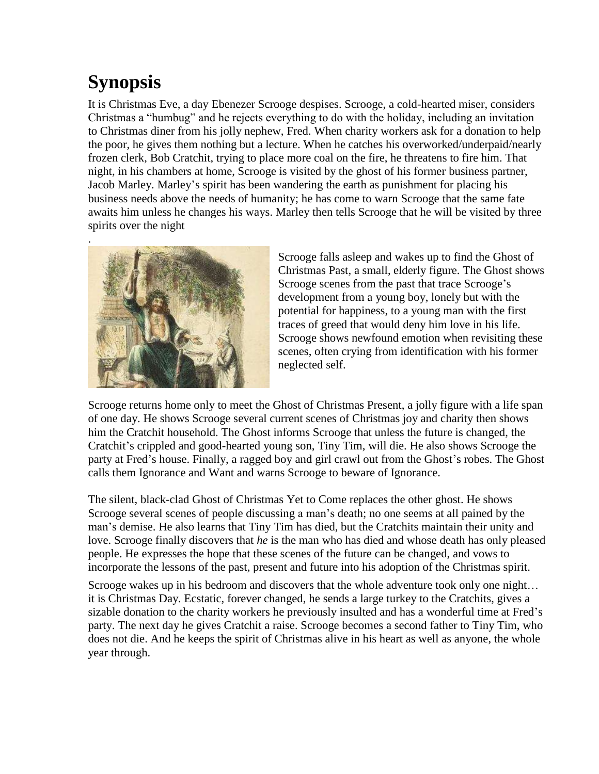## **Synopsis**

It is Christmas Eve, a day Ebenezer Scrooge despises. Scrooge, a cold-hearted miser, considers Christmas a "humbug" and he rejects everything to do with the holiday, including an invitation to Christmas diner from his jolly nephew, Fred. When charity workers ask for a donation to help the poor, he gives them nothing but a lecture. When he catches his overworked/underpaid/nearly frozen clerk, Bob Cratchit, trying to place more coal on the fire, he threatens to fire him. That night, in his chambers at home, Scrooge is visited by the ghost of his former business partner, Jacob Marley. Marley's spirit has been wandering the earth as punishment for placing his business needs above the needs of humanity; he has come to warn Scrooge that the same fate awaits him unless he changes his ways. Marley then tells Scrooge that he will be visited by three spirits over the night



Scrooge falls asleep and wakes up to find the Ghost of Christmas Past, a small, elderly figure. The Ghost shows Scrooge scenes from the past that trace Scrooge's development from a young boy, lonely but with the potential for happiness, to a young man with the first traces of greed that would deny him love in his life. Scrooge shows newfound emotion when revisiting these scenes, often crying from identification with his former neglected self.

Scrooge returns home only to meet the Ghost of Christmas Present, a jolly figure with a life span of one day. He shows Scrooge several current scenes of Christmas joy and charity then shows him the Cratchit household. The Ghost informs Scrooge that unless the future is changed, the Cratchit's crippled and good-hearted young son, Tiny Tim, will die. He also shows Scrooge the party at Fred's house. Finally, a ragged boy and girl crawl out from the Ghost's robes. The Ghost calls them Ignorance and Want and warns Scrooge to beware of Ignorance.

The silent, black-clad Ghost of Christmas Yet to Come replaces the other ghost. He shows Scrooge several scenes of people discussing a man's death; no one seems at all pained by the man's demise. He also learns that Tiny Tim has died, but the Cratchits maintain their unity and love. Scrooge finally discovers that *he* is the man who has died and whose death has only pleased people. He expresses the hope that these scenes of the future can be changed, and vows to incorporate the lessons of the past, present and future into his adoption of the Christmas spirit.

Scrooge wakes up in his bedroom and discovers that the whole adventure took only one night… it is Christmas Day. Ecstatic, forever changed, he sends a large turkey to the Cratchits, gives a sizable donation to the charity workers he previously insulted and has a wonderful time at Fred's party. The next day he gives Cratchit a raise. Scrooge becomes a second father to Tiny Tim, who does not die. And he keeps the spirit of Christmas alive in his heart as well as anyone, the whole year through.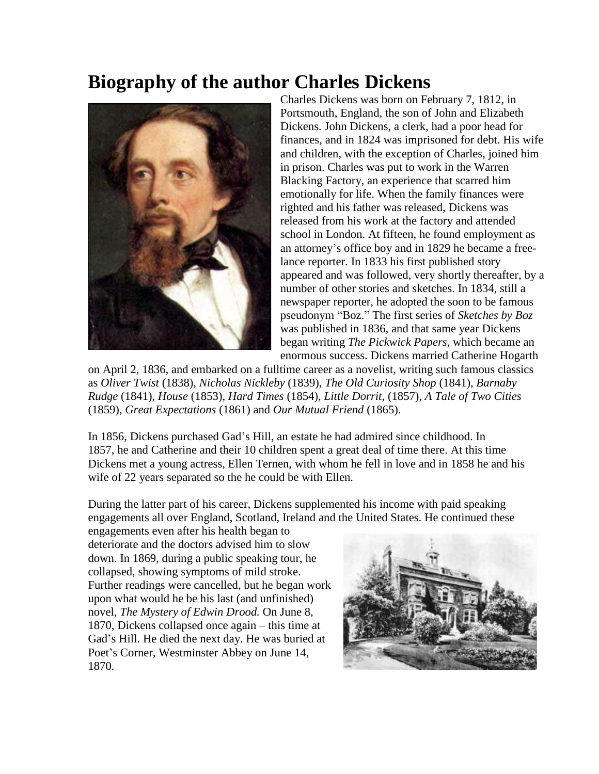## **Biography of the author Charles Dickens**



Charles Dickens was born on February 7, 1812, in Portsmouth, England, the son of John and Elizabeth Dickens. John Dickens, a clerk, had a poor head for finances, and in 1824 was imprisoned for debt. His wife and children, with the exception of Charles, joined him in prison. Charles was put to work in the Warren Blacking Factory, an experience that scarred him emotionally for life. When the family finances were righted and his father was released, Dickens was released from his work at the factory and attended school in London. At fifteen, he found employment as an attorney's office boy and in 1829 he became a freelance reporter. In 1833 his first published story appeared and was followed, very shortly thereafter, by a number of other stories and sketches. In 1834, still a newspaper reporter, he adopted the soon to be famous pseudonym "Boz." The first series of *Sketches by Boz*  was published in 1836, and that same year Dickens began writing *The Pickwick Papers*, which became an enormous success. Dickens married Catherine Hogarth

on April 2, 1836, and embarked on a fulltime career as a novelist, writing such famous classics as *Oliver Twist* (1838), *Nicholas Nickleby* (1839), *The Old Curiosity Shop* (1841), *Barnaby Rudge* (1841), *House* (1853), *Hard Times* (1854), *Little Dorrit*, (1857), *A Tale of Two Cities*  (1859), *Great Expectations* (1861) and *Our Mutual Friend* (1865).

In 1856, Dickens purchased Gad's Hill, an estate he had admired since childhood. In 1857, he and Catherine and their 10 children spent a great deal of time there. At this time Dickens met a young actress, Ellen Ternen, with whom he fell in love and in 1858 he and his wife of 22 years separated so the he could be with Ellen.

During the latter part of his career, Dickens supplemented his income with paid speaking engagements all over England, Scotland, Ireland and the United States. He continued these

engagements even after his health began to deteriorate and the doctors advised him to slow down. In 1869, during a public speaking tour, he collapsed, showing symptoms of mild stroke. Further readings were cancelled, but he began work upon what would he be his last (and unfinished) novel, *The Mystery of Edwin Drood.* On June 8, 1870, Dickens collapsed once again – this time at Gad's Hill. He died the next day. He was buried at Poet's Corner, Westminster Abbey on June 14, 1870.

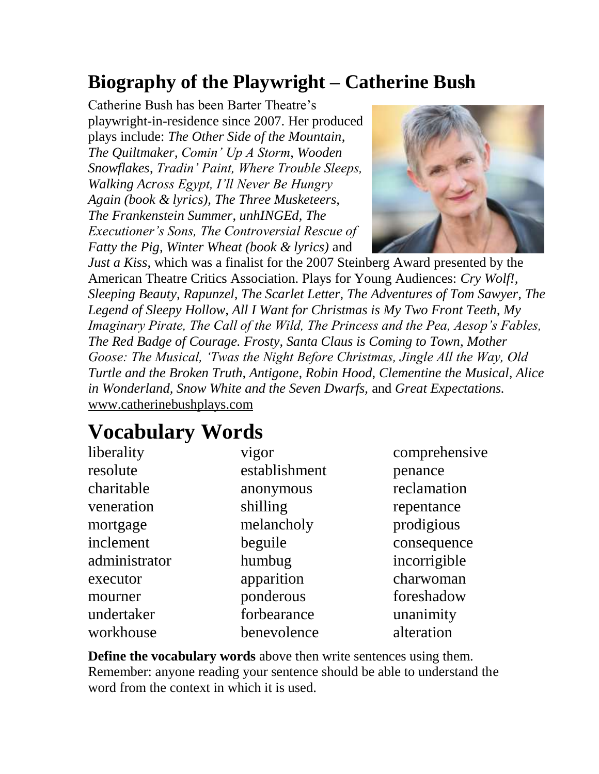## **Biography of the Playwright – Catherine Bush**

Catherine Bush has been Barter Theatre's playwright-in-residence since 2007. Her produced plays include: *The Other Side of the Mountain*, *The Quiltmaker*, *Comin' Up A Storm*, *Wooden Snowflakes*, *Tradin' Paint, Where Trouble Sleeps, Walking Across Egypt, I'll Never Be Hungry Again (book & lyrics), The Three Musketeers, The Frankenstein Summer*, *unhINGEd*, *The Executioner's Sons, The Controversial Rescue of Fatty the Pig, Winter Wheat (book & lyrics)* and



*Just a Kiss*, which was a finalist for the 2007 Steinberg Award presented by the American Theatre Critics Association. Plays for Young Audiences: *Cry Wolf!, Sleeping Beauty, Rapunzel, The Scarlet Letter, The Adventures of Tom Sawyer, The Legend of Sleepy Hollow, All I Want for Christmas is My Two Front Teeth, My Imaginary Pirate, The Call of the Wild, The Princess and the Pea, Aesop's Fables, The Red Badge of Courage. Frosty, Santa Claus is Coming to Town, Mother Goose: The Musical, 'Twas the Night Before Christmas, Jingle All the Way, Old Turtle and the Broken Truth, Antigone, Robin Hood, Clementine the Musical, Alice in Wonderland, Snow White and the Seven Dwarfs,* and *Great Expectations.* [www.catherinebushplays.com](http://www.catherinebushplays.com/)

## **Vocabulary Words**

| liberality    | vigor         | comprehensive |
|---------------|---------------|---------------|
| resolute      | establishment | penance       |
| charitable    | anonymous     | reclamation   |
| veneration    | shilling      | repentance    |
| mortgage      | melancholy    | prodigious    |
| inclement     | beguile       | consequence   |
| administrator | humbug        | incorrigible  |
| executor      | apparition    | charwoman     |
| mourner       | ponderous     | foreshadow    |
| undertaker    | forbearance   | unanimity     |
| workhouse     | benevolence   | alteration    |

**Define the vocabulary words** above then write sentences using them. Remember: anyone reading your sentence should be able to understand the word from the context in which it is used.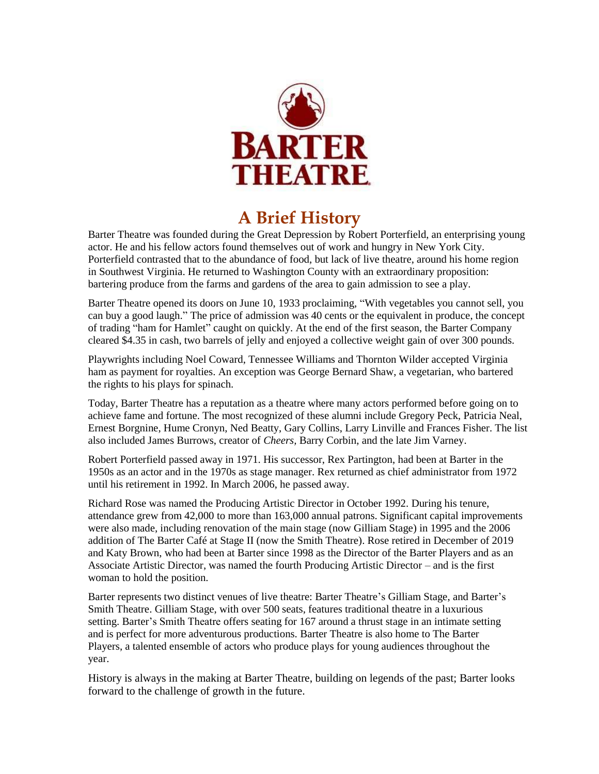

## **A Brief History**

Barter Theatre was founded during the Great Depression by Robert Porterfield, an enterprising young actor. He and his fellow actors found themselves out of work and hungry in New York City. Porterfield contrasted that to the abundance of food, but lack of live theatre, around his home region in Southwest Virginia. He returned to Washington County with an extraordinary proposition: bartering produce from the farms and gardens of the area to gain admission to see a play.

Barter Theatre opened its doors on June 10, 1933 proclaiming, "With vegetables you cannot sell, you can buy a good laugh." The price of admission was 40 cents or the equivalent in produce, the concept of trading "ham for Hamlet" caught on quickly. At the end of the first season, the Barter Company cleared \$4.35 in cash, two barrels of jelly and enjoyed a collective weight gain of over 300 pounds.

Playwrights including Noel Coward, Tennessee Williams and Thornton Wilder accepted Virginia ham as payment for royalties. An exception was George Bernard Shaw, a vegetarian, who bartered the rights to his plays for spinach.

Today, Barter Theatre has a reputation as a theatre where many actors performed before going on to achieve fame and fortune. The most recognized of these alumni include Gregory Peck, Patricia Neal, Ernest Borgnine, Hume Cronyn, Ned Beatty, Gary Collins, Larry Linville and Frances Fisher. The list also included James Burrows, creator of *Cheers,* Barry Corbin, and the late Jim Varney.

Robert Porterfield passed away in 1971. His successor, Rex Partington, had been at Barter in the 1950s as an actor and in the 1970s as stage manager. Rex returned as chief administrator from 1972 until his retirement in 1992. In March 2006, he passed away.

Richard Rose was named the Producing Artistic Director in October 1992. During his tenure, attendance grew from 42,000 to more than 163,000 annual patrons. Significant capital improvements were also made, including renovation of the main stage (now Gilliam Stage) in 1995 and the 2006 addition of The Barter Café at Stage II (now the Smith Theatre). Rose retired in December of 2019 and Katy Brown, who had been at Barter since 1998 as the Director of the Barter Players and as an Associate Artistic Director, was named the fourth Producing Artistic Director – and is the first woman to hold the position.

Barter represents two distinct venues of live theatre: Barter Theatre's Gilliam Stage, and Barter's Smith Theatre. Gilliam Stage, with over 500 seats, features traditional theatre in a luxurious setting. Barter's Smith Theatre offers seating for 167 around a thrust stage in an intimate setting and is perfect for more adventurous productions. Barter Theatre is also home to The Barter Players, a talented ensemble of actors who produce plays for young audiences throughout the year.

History is always in the making at Barter Theatre, building on legends of the past; Barter looks forward to the challenge of growth in the future.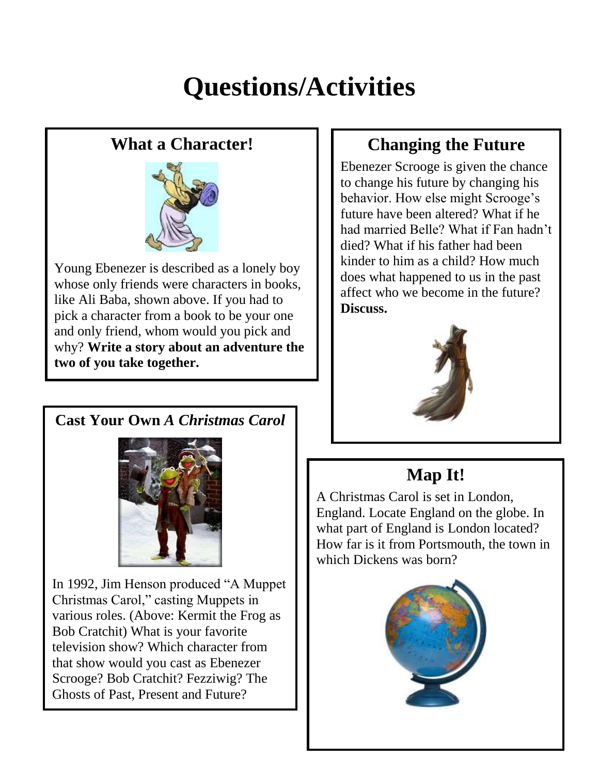## **Questions/Activities**

## **What a Character!**



Young Ebenezer is described as a lonely boy whose only friends were characters in books, like Ali Baba, shown above. If you had to pick a character from a book to be your one and only friend, whom would you pick and why? **Write a story about an adventure the two of you take together.**

## **Changing the Future**

Ebenezer Scrooge is given the chance to change his future by changing his behavior. How else might Scrooge's future have been altered? What if he had married Belle? What if Fan hadn't died? What if his father had been kinder to him as a child? How much does what happened to us in the past affect who we become in the future? **Discuss.**



### **Map It!**

A Christmas Carol is set in London, England. Locate England on the globe. In what part of England is London located? How far is it from Portsmouth, the town in which Dickens was born?



## **Cast Your Own** *A Christmas Carol*



In 1992, Jim Henson produced "A Muppet Christmas Carol," casting Muppets in various roles. (Above: Kermit the Frog as Bob Cratchit) What is your favorite television show? Which character from that show would you cast as Ebenezer Scrooge? Bob Cratchit? Fezziwig? The Ghosts of Past, Present and Future?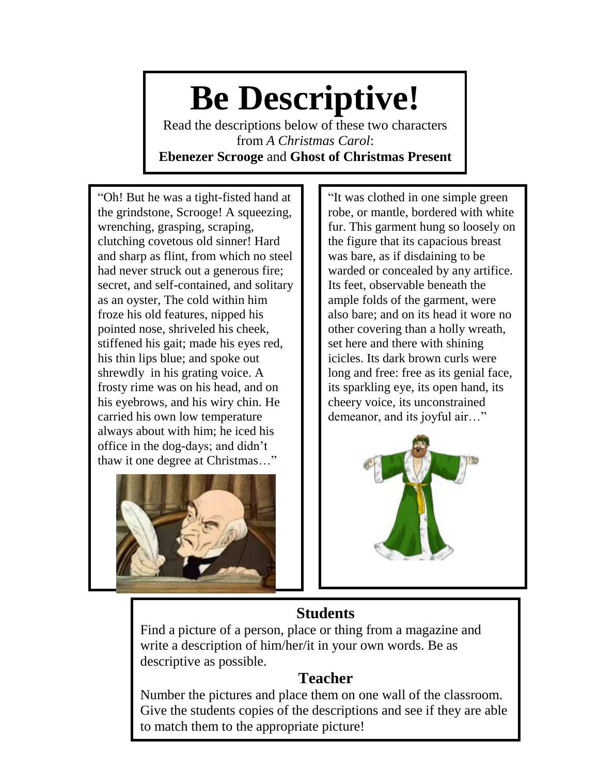# **Be Descriptive!**

Read the descriptions below of these two characters from *A Christmas Carol*: **Ebenezer Scrooge** and **Ghost of Christmas Present**

"Oh! But he was a tight-fisted hand at the grindstone, Scrooge! A squeezing, wrenching, grasping, scraping, clutching covetous old sinner! Hard and sharp as flint, from which no steel had never struck out a generous fire; secret, and self-contained, and solitary as an oyster, The cold within him froze his old features, nipped his pointed nose, shriveled his cheek, stiffened his gait; made his eyes red, his thin lips blue; and spoke out shrewdly in his grating voice. A frosty rime was on his head, and on his eyebrows, and his wiry chin. He carried his own low temperature always about with him; he iced his office in the dog-days; and didn't thaw it one degree at Christmas…"



"It was clothed in one simple green robe, or mantle, bordered with white fur. This garment hung so loosely on the figure that its capacious breast was bare, as if disdaining to be warded or concealed by any artifice. Its feet, observable beneath the ample folds of the garment, were also bare; and on its head it wore no other covering than a holly wreath, set here and there with shining icicles. Its dark brown curls were long and free: free as its genial face, its sparkling eye, its open hand, its cheery voice, its unconstrained demeanor, and its joyful air…"



### **Students**

Find a picture of a person, place or thing from a magazine and write a description of him/her/it in your own words. Be as descriptive as possible.

### **Teacher**

Number the pictures and place them on one wall of the classroom. Give the students copies of the descriptions and see if they are able to match them to the appropriate picture!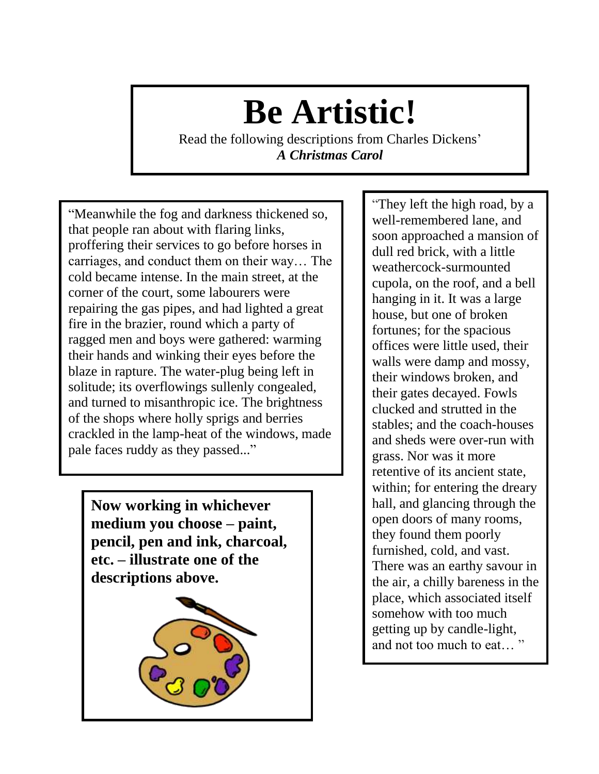# **Be Artistic!**

Read the following descriptions from Charles Dickens' *A Christmas Carol*

"Meanwhile the fog and darkness thickened so, that people ran about with flaring links, proffering their services to go before horses in carriages, and conduct them on their way… The cold became intense. In the main street, at the corner of the court, some labourers were repairing the gas pipes, and had lighted a great fire in the brazier, round which a party of ragged men and boys were gathered: warming their hands and winking their eyes before the blaze in rapture. The water-plug being left in solitude; its overflowings sullenly congealed, and turned to misanthropic ice. The brightness of the shops where holly sprigs and berries crackled in the lamp-heat of the windows, made pale faces ruddy as they passed..."

**Now working in whichever medium you choose – paint, pencil, pen and ink, charcoal, etc. – illustrate one of the descriptions above.**



"They left the high road, by a well-remembered lane, and soon approached a mansion of dull red brick, with a little weathercock-surmounted cupola, on the roof, and a bell hanging in it. It was a large house, but one of broken fortunes; for the spacious offices were little used, their walls were damp and mossy, their windows broken, and their gates decayed. Fowls clucked and strutted in the stables; and the coach-houses and sheds were over-run with grass. Nor was it more retentive of its ancient state, within; for entering the dreary hall, and glancing through the open doors of many rooms, they found them poorly furnished, cold, and vast. There was an earthy savour in the air, a chilly bareness in the place, which associated itself somehow with too much getting up by candle-light, and not too much to eat… "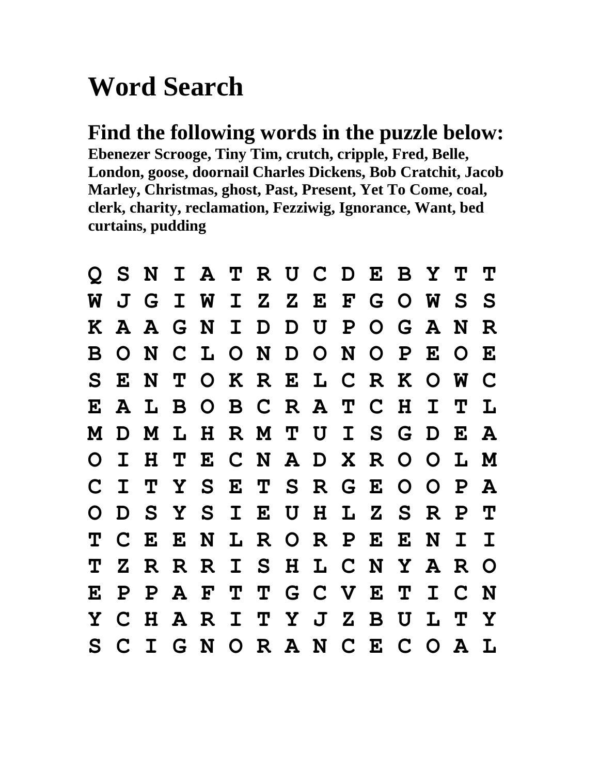## **Word Search**

**Find the following words in the puzzle below: Ebenezer Scrooge, Tiny Tim, crutch, cripple, Fred, Belle, London, goose, doornail Charles Dickens, Bob Cratchit, Jacob Marley, Christmas, ghost, Past, Present, Yet To Come, coal, clerk, charity, reclamation, Fezziwig, Ignorance, Want, bed curtains, pudding**

| $\mathbf{O}$ |              |              |  | SNIATRUCDEBYTT            |  |  |   |              |                |              |  |
|--------------|--------------|--------------|--|---------------------------|--|--|---|--------------|----------------|--------------|--|
| W            |              |              |  | J G I W I Z Z E F G O W S |  |  |   |              |                | -S           |  |
|              |              |              |  | KAAGNIDDUPOGAN            |  |  |   |              |                | R            |  |
| B.           |              |              |  | ONCLONDONOP               |  |  |   | $\mathbf{E}$ | $\overline{O}$ | $\bf E$      |  |
| S.           |              |              |  | ENTOKRELCRKOW             |  |  |   |              |                | C            |  |
| $\mathbf{E}$ | ${\bf A}$    |              |  | LBOBCRATCH                |  |  |   | $\mathbf I$  | $\mathbf{T}$   | $\mathbf{L}$ |  |
| M            |              |              |  | D M L H R M T U I S G D E |  |  |   |              |                | A            |  |
| $\mathbf O$  | $\mathbf I$  | H            |  | TECNADXROOL               |  |  |   |              |                | M            |  |
| $\mathbf C$  | $\mathbf I$  |              |  | TYSETSRGEOOP              |  |  |   |              |                | A            |  |
| O            |              |              |  | D S Y S I E U H L Z S R P |  |  |   |              |                | $\mathbf{T}$ |  |
| Т            |              |              |  | C E E N L R O R P E E N   |  |  |   |              | $\mathbf I$    |              |  |
| Т            |              |              |  | Z R R R I S H L C N Y A R |  |  |   |              |                | $\Omega$     |  |
| E            | $\mathbf{P}$ | $\mathbf{P}$ |  | A F T T G C V E T         |  |  |   | $\mathbf I$  | $C$ N          |              |  |
| Y            |              |              |  | C H A R I T Y J Z B       |  |  | U | L            | T              | $\mathbf Y$  |  |
| S .          |              |              |  | CIGNORANCECOAL            |  |  |   |              |                |              |  |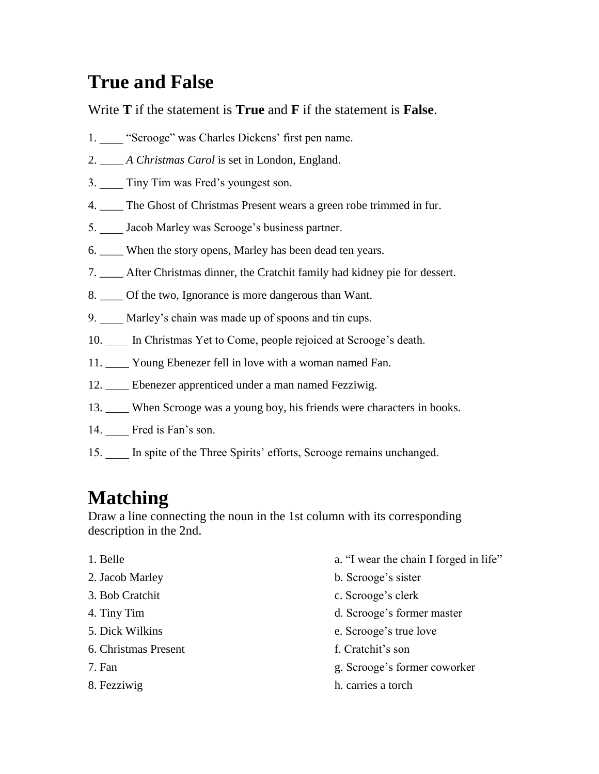## **True and False**

Write **T** if the statement is **True** and **F** if the statement is **False**.

- 1. "Scrooge" was Charles Dickens' first pen name.
- 2. \_\_\_\_ *A Christmas Carol* is set in London, England.
- 3. Tiny Tim was Fred's youngest son.
- 4. \_\_\_\_ The Ghost of Christmas Present wears a green robe trimmed in fur.
- 5. \_\_\_\_ Jacob Marley was Scrooge's business partner.
- 6. \_\_\_\_ When the story opens, Marley has been dead ten years.
- 7. \_\_\_\_ After Christmas dinner, the Cratchit family had kidney pie for dessert.
- 8. \_\_\_\_ Of the two, Ignorance is more dangerous than Want.
- 9. Marley's chain was made up of spoons and tin cups.
- 10. In Christmas Yet to Come, people rejoiced at Scrooge's death.
- 11. \_\_\_\_ Young Ebenezer fell in love with a woman named Fan.
- 12. \_\_\_\_ Ebenezer apprenticed under a man named Fezziwig.
- 13. \_\_\_\_ When Scrooge was a young boy, his friends were characters in books.
- 14. Fred is Fan's son.
- 15. \_\_\_\_ In spite of the Three Spirits' efforts, Scrooge remains unchanged.

## **Matching**

Draw a line connecting the noun in the 1st column with its corresponding description in the 2nd.

- 
- 
- 
- 
- 
- 6. Christmas Present f. Cratchit's son
- 
- 
- 1. Belle a. "I wear the chain I forged in life"
- 2. Jacob Marley b. Scrooge's sister
- 3. Bob Cratchit c. Scrooge's clerk
- 4. Tiny Tim d. Scrooge's former master
- 5. Dick Wilkins e. Scrooge's true love
	-
- 7. Fan g. Scrooge's former coworker
- 8. Fezziwig h. carries a torch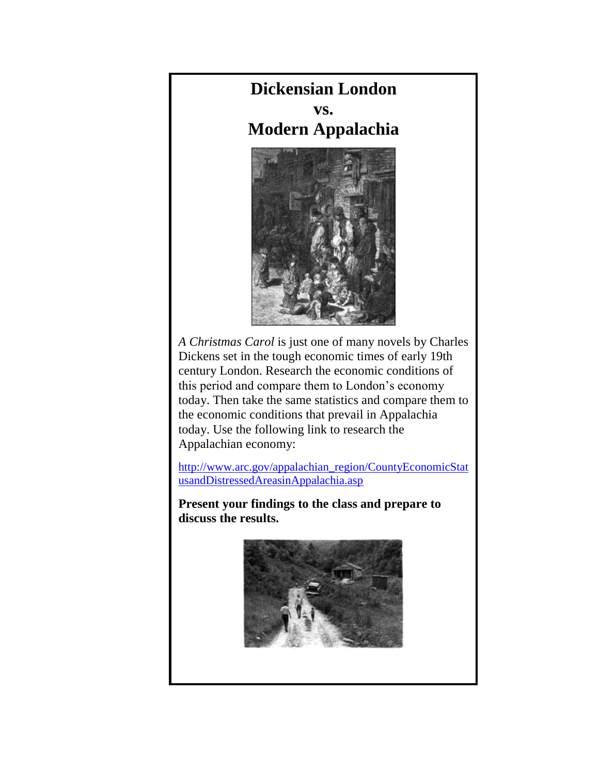## **Dickensian London**

**vs. Modern Appalachia**



*A Christmas Carol* is just one of many novels by Charles Dickens set in the tough economic times of early 19th century London. Research the economic conditions of this period and compare them to London's economy today. Then take the same statistics and compare them to the economic conditions that prevail in Appalachia today. Use the following link to research the Appalachian economy:

[http://www.arc.gov/appalachian\\_region/CountyEconomicStat](http://www.arc.gov/appalachian_region/CountyEconomicStatusandDistressedAreasinAppalachia.asp) [usandDistressedAreasinAppalachia.asp](http://www.arc.gov/appalachian_region/CountyEconomicStatusandDistressedAreasinAppalachia.asp)

**Present your findings to the class and prepare to discuss the results.**

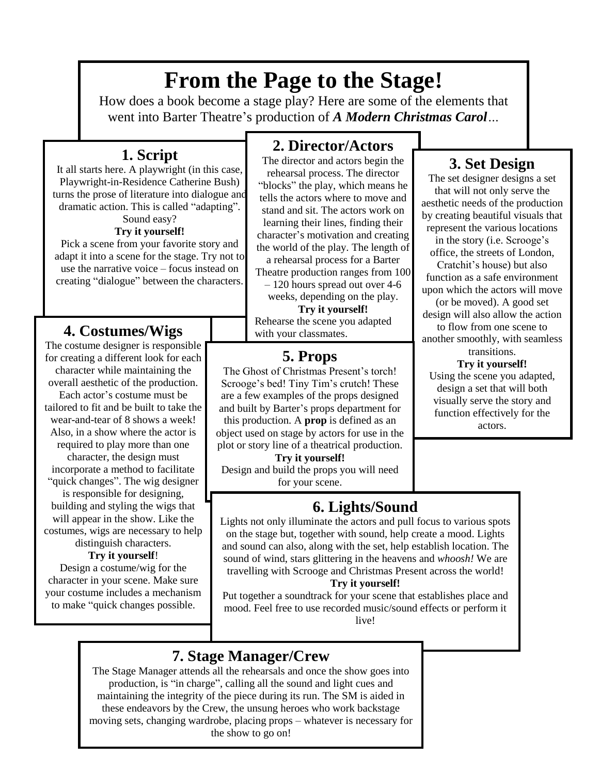## **From the Page to the Stage!**

How does a book become a stage play? Here are some of the elements that went into Barter Theatre's production of *A Modern Christmas Carol…*

### **1. Script**

It all starts here. A playwright (in this case, Playwright-in-Residence Catherine Bush) turns the prose of literature into dialogue and dramatic action. This is called "adapting". Sound easy?

#### **Try it yourself!**

Pick a scene from your favorite story and adapt it into a scene for the stage. Try not to use the narrative voice – focus instead on creating "dialogue" between the characters.

### **4. Costumes/Wigs**

The costume designer is responsible for creating a different look for each character while maintaining the overall aesthetic of the production.

Each actor's costume must be tailored to fit and be built to take the wear-and-tear of 8 shows a week! Also, in a show where the actor is required to play more than one character, the design must incorporate a method to facilitate "quick changes". The wig designer is responsible for designing, building and styling the wigs that will appear in the show. Like the costumes, wigs are necessary to help distinguish characters.

#### **Try it yourself**!

Design a costume/wig for the character in your scene. Make sure your costume includes a mechanism to make "quick changes possible.

### **2. Director/Actors**

The director and actors begin the rehearsal process. The director "blocks" the play, which means he tells the actors where to move and stand and sit. The actors work on learning their lines, finding their character's motivation and creating the world of the play. The length of

a rehearsal process for a Barter Theatre production ranges from 100 – 120 hours spread out over 4-6

weeks, depending on the play. **Try it yourself!**

Rehearse the scene you adapted with your classmates.

### **5. Props**

The Ghost of Christmas Present's torch! Scrooge's bed! Tiny Tim's crutch! These are a few examples of the props designed and built by Barter's props department for

this production. A **prop** is defined as an object used on stage by actors for use in the plot or story line of a theatrical production.

**Try it yourself!** Design and build the props you will need for your scene.

#### by creating beautiful visuals that represent the various locations

in the story (i.e. Scrooge's office, the streets of London, Cratchit's house) but also function as a safe environment upon which the actors will move (or be moved). A good set design will also allow the action to flow from one scene to another smoothly, with seamless transitions.

**3. Set Design** The set designer designs a set that will not only serve the aesthetic needs of the production

#### **Try it yourself!**

Using the scene you adapted, design a set that will both visually serve the story and function effectively for the actors.

### **6. Lights/Sound**

Lights not only illuminate the actors and pull focus to various spots on the stage but, together with sound, help create a mood. Lights and sound can also, along with the set, help establish location. The sound of wind, stars glittering in the heavens and *whoosh!* We are travelling with Scrooge and Christmas Present across the world!

#### **Try it yourself!**

Put together a soundtrack for your scene that establishes place and mood. Feel free to use recorded music/sound effects or perform it live!

### **7. Stage Manager/Crew**

The Stage Manager attends all the rehearsals and once the show goes into production, is "in charge", calling all the sound and light cues and maintaining the integrity of the piece during its run. The SM is aided in these endeavors by the Crew, the unsung heroes who work backstage moving sets, changing wardrobe, placing props – whatever is necessary for the show to go on!